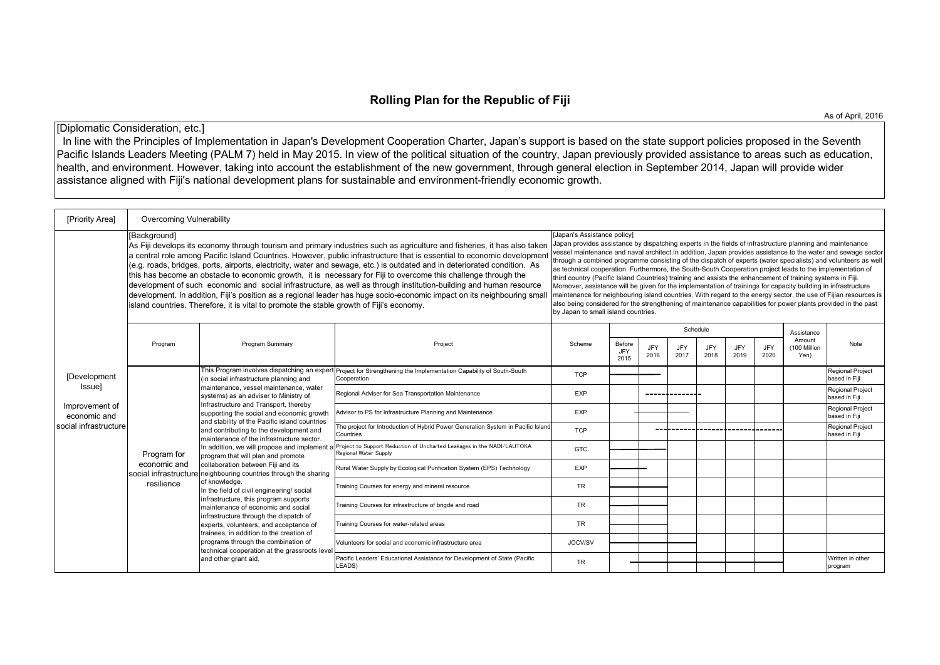## **Rolling Plan for the Republic of Fiji**

[Diplomatic Consideration, etc.]

In line with the Principles of Implementation in Japan's Development Cooperation Charter, Japan's support is based on the state support policies proposed in the Seventh Pacific Islands Leaders Meeting (PALM 7) held in May 2015. In view of the political situation of the country, Japan previously provided assistance to areas such as education, health, and environment. However, taking into account the establishment of the new government, through general election in September 2014, Japan will provide wider assistance aligned with Fiji's national development plans for sustainable and environment-friendly economic growth.

| [Priority Area]                | Overcoming Vulnerability                                                                                                                                                                                                                                                                                                                                                                                                                                                                                                                                                                                                                                                                                                                                                                                                                                       |                                                                                                                                                                                                                                                                                                                                                                                                                                                                                                                                                                                                                                                                                                                                                                                                                                                                                                                                                                                                   |                                                                                                                                   |            |                       |                    |             |             |             |                      |                      |                                          |
|--------------------------------|----------------------------------------------------------------------------------------------------------------------------------------------------------------------------------------------------------------------------------------------------------------------------------------------------------------------------------------------------------------------------------------------------------------------------------------------------------------------------------------------------------------------------------------------------------------------------------------------------------------------------------------------------------------------------------------------------------------------------------------------------------------------------------------------------------------------------------------------------------------|---------------------------------------------------------------------------------------------------------------------------------------------------------------------------------------------------------------------------------------------------------------------------------------------------------------------------------------------------------------------------------------------------------------------------------------------------------------------------------------------------------------------------------------------------------------------------------------------------------------------------------------------------------------------------------------------------------------------------------------------------------------------------------------------------------------------------------------------------------------------------------------------------------------------------------------------------------------------------------------------------|-----------------------------------------------------------------------------------------------------------------------------------|------------|-----------------------|--------------------|-------------|-------------|-------------|----------------------|----------------------|------------------------------------------|
|                                | [Background]<br>As Fiji develops its economy through tourism and primary industries such as agriculture and fisheries, it has also taker<br>a central role among Pacific Island Countries. However, public infrastructure that is essential to economic developmen<br>(e.g. roads, bridges, ports, airports, electricity, water and sewage, etc.) is outdated and in deteriorated condition. As<br>this has become an obstacle to economic growth, it is necessary for Fiji to overcome this challenge through the<br>development of such economic and social infrastructure, as well as through institution-building and human resource<br>development. In addition, Fiji's position as a regional leader has huge socio-economic impact on its neighbouring smal<br>island countries. Therefore, it is vital to promote the stable growth of Fiji's economy. | Japan's Assistance policyl<br>Japan provides assistance by dispatching experts in the fields of infrastructure planning and maintenance<br>vessel maintenance and naval architect. In addition, Japan provides assistance to the water and sewage sector<br>through a combined programme consisting of the dispatch of experts (water specialists) and volunteers as well<br>as technical cooperation. Furthermore, the South-South Cooperation project leads to the implementation of<br>third country (Pacific Island Countries) training and assists the enhancement of training systems in Fiji.<br>Moreover, assistance will be given for the implementation of trainings for capacity building in infrastructure<br>maintenance for neighbouring island countries. With regard to the energy sector, the use of Fijian resources is<br>also being considered for the strengthening of maintenance capabilities for power plants provided in the past<br>by Japan to small island countries. |                                                                                                                                   |            |                       |                    |             |             |             |                      |                      |                                          |
|                                |                                                                                                                                                                                                                                                                                                                                                                                                                                                                                                                                                                                                                                                                                                                                                                                                                                                                |                                                                                                                                                                                                                                                                                                                                                                                                                                                                                                                                                                                                                                                                                                                                                                                                                                                                                                                                                                                                   |                                                                                                                                   | Schedule   |                       |                    |             |             |             | Assistance<br>Amount |                      |                                          |
|                                | Program                                                                                                                                                                                                                                                                                                                                                                                                                                                                                                                                                                                                                                                                                                                                                                                                                                                        | Program Summary                                                                                                                                                                                                                                                                                                                                                                                                                                                                                                                                                                                                                                                                                                                                                                                                                                                                                                                                                                                   | Project                                                                                                                           | Scheme     | Before<br>JFY<br>2015 | <b>JFY</b><br>2016 | JFY<br>2017 | JFY<br>2018 | JFY<br>2019 | <b>JFY</b><br>2020   | (100 Million<br>Yen) | <b>Note</b>                              |
| [Development<br>Issue]         | Program for                                                                                                                                                                                                                                                                                                                                                                                                                                                                                                                                                                                                                                                                                                                                                                                                                                                    | (in social infrastructure planning and<br>maintenance, vessel maintenance, water<br>systems) as an adviser to Ministry of<br>Infrastructure and Transport, thereby<br>supporting the social and economic growth<br>and stability of the Pacific island countries<br>and contributing to the development and<br>maintenance of the infrastructure sector.<br>In addition, we will propose and implement a<br>program that will plan and promote<br>collaboration between Fiji and its<br>social infrastructure neighbouring countries through the sharing<br>of knowledge.<br>In the field of civil engineering/ social<br>infrastructure, this program supports<br>maintenance of economic and social<br>infrastructure through the dispatch of<br>experts, volunteers, and acceptance of<br>trainees, in addition to the creation of<br>programs through the combination of<br>technical cooperation at the grassroots level<br>and other grant aid.                                             | This Program involves dispatching an expert Project for Strengthening the Implementation Capability of South-South<br>Cooperation | <b>TCP</b> |                       |                    |             |             |             |                      |                      | <b>Regional Project</b><br>based in Fiji |
|                                |                                                                                                                                                                                                                                                                                                                                                                                                                                                                                                                                                                                                                                                                                                                                                                                                                                                                |                                                                                                                                                                                                                                                                                                                                                                                                                                                                                                                                                                                                                                                                                                                                                                                                                                                                                                                                                                                                   | Regional Adviser for Sea Transportation Maintenance                                                                               | <b>EXP</b> |                       | ---                |             |             |             |                      |                      | Regional Project<br>based in Fiji        |
| Improvement of<br>economic and |                                                                                                                                                                                                                                                                                                                                                                                                                                                                                                                                                                                                                                                                                                                                                                                                                                                                |                                                                                                                                                                                                                                                                                                                                                                                                                                                                                                                                                                                                                                                                                                                                                                                                                                                                                                                                                                                                   | Advisor to PS for Infrastructure Planning and Maintenance                                                                         | <b>EXP</b> |                       |                    |             |             |             |                      |                      | <b>Regional Project</b><br>based in Fiji |
| social infrastructure          |                                                                                                                                                                                                                                                                                                                                                                                                                                                                                                                                                                                                                                                                                                                                                                                                                                                                |                                                                                                                                                                                                                                                                                                                                                                                                                                                                                                                                                                                                                                                                                                                                                                                                                                                                                                                                                                                                   | The project for Introduction of Hybrid Power Generation System in Pacific Island<br>Countries                                     | <b>TCP</b> |                       |                    |             |             |             |                      |                      | <b>Regional Project</b><br>based in Fiji |
|                                |                                                                                                                                                                                                                                                                                                                                                                                                                                                                                                                                                                                                                                                                                                                                                                                                                                                                |                                                                                                                                                                                                                                                                                                                                                                                                                                                                                                                                                                                                                                                                                                                                                                                                                                                                                                                                                                                                   | Project to Support Reduction of Uncharted Leakages in the NADI/LAUTOKA<br>Regional Water Supply                                   | <b>GTC</b> |                       |                    |             |             |             |                      |                      |                                          |
|                                | economic and                                                                                                                                                                                                                                                                                                                                                                                                                                                                                                                                                                                                                                                                                                                                                                                                                                                   |                                                                                                                                                                                                                                                                                                                                                                                                                                                                                                                                                                                                                                                                                                                                                                                                                                                                                                                                                                                                   | Rural Water Supply by Ecological Purification System (EPS) Technology                                                             | EXP        |                       |                    |             |             |             |                      |                      |                                          |
|                                | resilience                                                                                                                                                                                                                                                                                                                                                                                                                                                                                                                                                                                                                                                                                                                                                                                                                                                     |                                                                                                                                                                                                                                                                                                                                                                                                                                                                                                                                                                                                                                                                                                                                                                                                                                                                                                                                                                                                   | Training Courses for energy and mineral resource                                                                                  | TR         |                       |                    |             |             |             |                      |                      |                                          |
|                                |                                                                                                                                                                                                                                                                                                                                                                                                                                                                                                                                                                                                                                                                                                                                                                                                                                                                |                                                                                                                                                                                                                                                                                                                                                                                                                                                                                                                                                                                                                                                                                                                                                                                                                                                                                                                                                                                                   | Training Courses for infrastructure of brigde and road                                                                            | <b>TR</b>  |                       |                    |             |             |             |                      |                      |                                          |
|                                |                                                                                                                                                                                                                                                                                                                                                                                                                                                                                                                                                                                                                                                                                                                                                                                                                                                                |                                                                                                                                                                                                                                                                                                                                                                                                                                                                                                                                                                                                                                                                                                                                                                                                                                                                                                                                                                                                   | Training Courses for water-related areas                                                                                          | <b>TR</b>  |                       |                    |             |             |             |                      |                      |                                          |
|                                |                                                                                                                                                                                                                                                                                                                                                                                                                                                                                                                                                                                                                                                                                                                                                                                                                                                                |                                                                                                                                                                                                                                                                                                                                                                                                                                                                                                                                                                                                                                                                                                                                                                                                                                                                                                                                                                                                   | Volunteers for social and economic infrastructure area                                                                            | JOCV/SV    |                       |                    |             |             |             |                      |                      |                                          |
|                                |                                                                                                                                                                                                                                                                                                                                                                                                                                                                                                                                                                                                                                                                                                                                                                                                                                                                |                                                                                                                                                                                                                                                                                                                                                                                                                                                                                                                                                                                                                                                                                                                                                                                                                                                                                                                                                                                                   | Pacific Leaders' Educational Assistance for Development of State (Pacific<br>LEADS)                                               | <b>TR</b>  |                       |                    |             |             |             |                      |                      | Written in other<br>program              |

As of April, 2016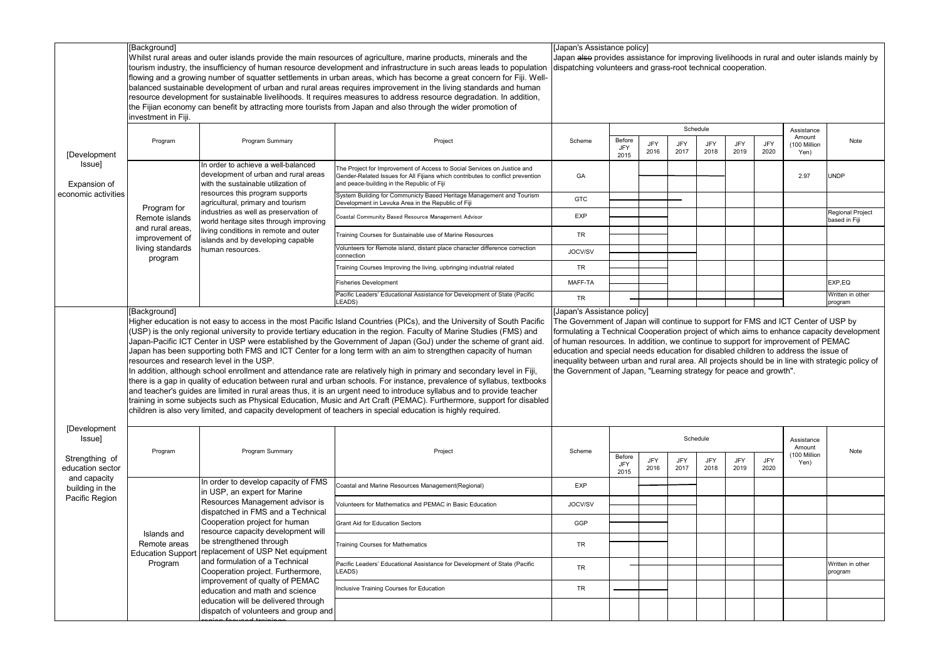| [Development<br>Issue]<br>Expansion of                       | [Background]<br>investment in Fiji.                     | Whilst rural areas and outer islands provide the main resources of agriculture, marine products, minerals and the<br>tourism industry, the insufficiency of human resource development and infrastructure in such areas leads to population<br>flowing and a growing number of squatter settlements in urban areas, which has become a great concern for Fiji. Well-<br>balanced sustainable development of urban and rural areas requires improvement in the living standards and human<br>resource development for sustainable livelihoods. It requires measures to address resource degradation. In addition,<br>the Fijian economy can benefit by attracting more tourists from Japan and also through the wider promotion of                                                                                                                                                                                                                                                                                                                                                                                                                           |                                                                                                                                                                                                                                                                                                                                                                                                                                                                                                                                     |            |                              |                    | [Japan's Assistance policy]<br>Japan also provides assistance for improving livelihoods in rural and outer islands mainly by<br>dispatching volunteers and grass-root technical cooperation. |                                |                    |             |                                              |                                   |  |  |  |
|--------------------------------------------------------------|---------------------------------------------------------|-------------------------------------------------------------------------------------------------------------------------------------------------------------------------------------------------------------------------------------------------------------------------------------------------------------------------------------------------------------------------------------------------------------------------------------------------------------------------------------------------------------------------------------------------------------------------------------------------------------------------------------------------------------------------------------------------------------------------------------------------------------------------------------------------------------------------------------------------------------------------------------------------------------------------------------------------------------------------------------------------------------------------------------------------------------------------------------------------------------------------------------------------------------|-------------------------------------------------------------------------------------------------------------------------------------------------------------------------------------------------------------------------------------------------------------------------------------------------------------------------------------------------------------------------------------------------------------------------------------------------------------------------------------------------------------------------------------|------------|------------------------------|--------------------|----------------------------------------------------------------------------------------------------------------------------------------------------------------------------------------------|--------------------------------|--------------------|-------------|----------------------------------------------|-----------------------------------|--|--|--|
|                                                              | Program                                                 | Program Summary                                                                                                                                                                                                                                                                                                                                                                                                                                                                                                                                                                                                                                                                                                                                                                                                                                                                                                                                                                                                                                                                                                                                             | Project                                                                                                                                                                                                                                                                                                                                                                                                                                                                                                                             | Scheme     | Before<br><b>JFY</b><br>2015 | JFY<br>2016        | JFY<br>2017                                                                                                                                                                                  | Schedule<br>JFY<br>2018        | JFY<br>2019        | JFY<br>2020 | Assistance<br>Amount<br>100 Million<br>Yen)  | Note                              |  |  |  |
|                                                              |                                                         | In order to achieve a well-balanced<br>development of urban and rural areas<br>with the sustainable utilization of                                                                                                                                                                                                                                                                                                                                                                                                                                                                                                                                                                                                                                                                                                                                                                                                                                                                                                                                                                                                                                          | The Project for Improvement of Access to Social Services on Justice and<br>Gender-Related Issues for All Fijians which contributes to conflict prevention<br>and peace-building in the Republic of Fiji                                                                                                                                                                                                                                                                                                                             | GA         |                              |                    |                                                                                                                                                                                              |                                |                    |             | 2.97                                         | <b>UNDP</b>                       |  |  |  |
| economic activities                                          |                                                         | resources this program supports<br>agricultural, primary and tourism                                                                                                                                                                                                                                                                                                                                                                                                                                                                                                                                                                                                                                                                                                                                                                                                                                                                                                                                                                                                                                                                                        | System Building for Communicty Based Heritage Management and Tourism<br>evelopment in Levuka Area in the Republic of Fiji                                                                                                                                                                                                                                                                                                                                                                                                           | <b>GTC</b> |                              |                    |                                                                                                                                                                                              |                                |                    |             |                                              |                                   |  |  |  |
|                                                              | Program for<br>Remote islands                           | industries as well as preservation of<br>world heritage sites through improving<br>living conditions in remote and outer<br>islands and by developing capable<br>human resources.                                                                                                                                                                                                                                                                                                                                                                                                                                                                                                                                                                                                                                                                                                                                                                                                                                                                                                                                                                           | <b>Coastal Community Based Resource Management Advisor</b>                                                                                                                                                                                                                                                                                                                                                                                                                                                                          | EXP        |                              |                    |                                                                                                                                                                                              |                                |                    |             |                                              | Regional Project<br>based in Fiji |  |  |  |
|                                                              | and rural areas,<br>improvement of                      |                                                                                                                                                                                                                                                                                                                                                                                                                                                                                                                                                                                                                                                                                                                                                                                                                                                                                                                                                                                                                                                                                                                                                             | Fraining Courses for Sustainable use of Marine Resources                                                                                                                                                                                                                                                                                                                                                                                                                                                                            | TR         |                              |                    |                                                                                                                                                                                              |                                |                    |             |                                              |                                   |  |  |  |
|                                                              | living standards<br>program                             |                                                                                                                                                                                                                                                                                                                                                                                                                                                                                                                                                                                                                                                                                                                                                                                                                                                                                                                                                                                                                                                                                                                                                             | /olunteers for Remote island, distant place character difference correction<br>connection                                                                                                                                                                                                                                                                                                                                                                                                                                           | JOCV/SV    |                              |                    |                                                                                                                                                                                              |                                |                    |             |                                              |                                   |  |  |  |
|                                                              |                                                         |                                                                                                                                                                                                                                                                                                                                                                                                                                                                                                                                                                                                                                                                                                                                                                                                                                                                                                                                                                                                                                                                                                                                                             | raining Courses Improving the living, upbringing industrial related                                                                                                                                                                                                                                                                                                                                                                                                                                                                 | <b>TR</b>  |                              |                    |                                                                                                                                                                                              |                                |                    |             |                                              |                                   |  |  |  |
|                                                              |                                                         |                                                                                                                                                                                                                                                                                                                                                                                                                                                                                                                                                                                                                                                                                                                                                                                                                                                                                                                                                                                                                                                                                                                                                             | isheries Development                                                                                                                                                                                                                                                                                                                                                                                                                                                                                                                | MAFF-TA    |                              |                    |                                                                                                                                                                                              |                                |                    |             |                                              | EXP,EQ                            |  |  |  |
|                                                              |                                                         |                                                                                                                                                                                                                                                                                                                                                                                                                                                                                                                                                                                                                                                                                                                                                                                                                                                                                                                                                                                                                                                                                                                                                             | Pacific Leaders' Educational Assistance for Development of State (Pacific<br>LEADS)                                                                                                                                                                                                                                                                                                                                                                                                                                                 | <b>TR</b>  |                              |                    |                                                                                                                                                                                              |                                |                    |             |                                              | Written in other<br>program       |  |  |  |
|                                                              |                                                         | Higher education is not easy to access in the most Pacific Island Countries (PICs), and the University of South Pacific<br>(USP) is the only regional university to provide tertiary education in the region. Faculty of Marine Studies (FMS) and<br>Japan-Pacific ICT Center in USP were established by the Government of Japan (GoJ) under the scheme of grant aid.<br>Japan has been supporting both FMS and ICT Center for a long term with an aim to strengthen capacity of human<br>resources and research level in the USP.<br>In addition, although school enrollment and attendance rate are relatively high in primary and secondary level in Fiji,<br>there is a gap in quality of education between rural and urban schools. For instance, prevalence of syllabus, textbooks<br>and teacher's quides are limited in rural areas thus, it is an urgent need to introduce syllabus and to provide teacher<br>training in some subjects such as Physical Education, Music and Art Craft (PEMAC). Furthermore, support for disabled<br>children is also very limited, and capacity development of teachers in special education is highly required. | The Government of Japan will continue to support for FMS and ICT Center of USP by<br>formulating a Technical Cooperation project of which aims to enhance capacity development<br>of human resources. In addition, we continue to support for improvement of PEMAC<br>education and special needs education for disabled children to address the issue of<br>inequality between urban and rural area. All projects should be in line with strategic policy of<br>the Government of Japan, "Learning strategy for peace and growth". |            |                              |                    |                                                                                                                                                                                              |                                |                    |             |                                              |                                   |  |  |  |
| [Development<br>Issue]<br>Strengthing of<br>education sector | Program                                                 | Program Summary                                                                                                                                                                                                                                                                                                                                                                                                                                                                                                                                                                                                                                                                                                                                                                                                                                                                                                                                                                                                                                                                                                                                             | Project                                                                                                                                                                                                                                                                                                                                                                                                                                                                                                                             | Scheme     | Before<br><b>JFY</b>         | <b>JFY</b><br>2016 | <b>JFY</b><br>2017                                                                                                                                                                           | Schedule<br><b>JFY</b><br>2018 | <b>JFY</b><br>2019 | JFY<br>2020 | Assistance<br>Amount<br>(100 Million<br>Yen) | Note                              |  |  |  |
| and capacity<br>building in the                              |                                                         | In order to develop capacity of FMS                                                                                                                                                                                                                                                                                                                                                                                                                                                                                                                                                                                                                                                                                                                                                                                                                                                                                                                                                                                                                                                                                                                         | Coastal and Marine Resources Management(Regional)                                                                                                                                                                                                                                                                                                                                                                                                                                                                                   | EXP        | 2015                         |                    |                                                                                                                                                                                              |                                |                    |             |                                              |                                   |  |  |  |
| Pacific Region                                               |                                                         | in USP, an expert for Marine<br>Resources Management advisor is<br>dispatched in FMS and a Technical<br>Cooperation project for human<br>resource capacity development will<br>be strengthened through<br>replacement of USP Net equipment<br>and formulation of a Technical<br>Cooperation project. Furthermore,<br>improvement of qualty of PEMAC<br>education and math and science<br>education will be delivered through<br>dispatch of volunteers and group and                                                                                                                                                                                                                                                                                                                                                                                                                                                                                                                                                                                                                                                                                        | Olunteers for Mathematics and PEMAC in Basic Education                                                                                                                                                                                                                                                                                                                                                                                                                                                                              | JOCV/SV    |                              |                    |                                                                                                                                                                                              |                                |                    |             |                                              |                                   |  |  |  |
|                                                              |                                                         |                                                                                                                                                                                                                                                                                                                                                                                                                                                                                                                                                                                                                                                                                                                                                                                                                                                                                                                                                                                                                                                                                                                                                             | <b>Grant Aid for Education Sectors</b>                                                                                                                                                                                                                                                                                                                                                                                                                                                                                              | GGP        |                              |                    |                                                                                                                                                                                              |                                |                    |             |                                              |                                   |  |  |  |
|                                                              | Islands and<br>Remote areas<br><b>Education Support</b> |                                                                                                                                                                                                                                                                                                                                                                                                                                                                                                                                                                                                                                                                                                                                                                                                                                                                                                                                                                                                                                                                                                                                                             | <b>Training Courses for Mathematics</b>                                                                                                                                                                                                                                                                                                                                                                                                                                                                                             | TR         |                              |                    |                                                                                                                                                                                              |                                |                    |             |                                              |                                   |  |  |  |
|                                                              | Program                                                 |                                                                                                                                                                                                                                                                                                                                                                                                                                                                                                                                                                                                                                                                                                                                                                                                                                                                                                                                                                                                                                                                                                                                                             | Pacific Leaders' Educational Assistance for Development of State (Pacific<br>LEADS)                                                                                                                                                                                                                                                                                                                                                                                                                                                 | <b>TR</b>  |                              |                    |                                                                                                                                                                                              |                                |                    |             |                                              | Written in other<br>program       |  |  |  |
|                                                              |                                                         |                                                                                                                                                                                                                                                                                                                                                                                                                                                                                                                                                                                                                                                                                                                                                                                                                                                                                                                                                                                                                                                                                                                                                             | nclusive Training Courses for Education                                                                                                                                                                                                                                                                                                                                                                                                                                                                                             | <b>TR</b>  |                              |                    |                                                                                                                                                                                              |                                |                    |             |                                              |                                   |  |  |  |
|                                                              |                                                         |                                                                                                                                                                                                                                                                                                                                                                                                                                                                                                                                                                                                                                                                                                                                                                                                                                                                                                                                                                                                                                                                                                                                                             |                                                                                                                                                                                                                                                                                                                                                                                                                                                                                                                                     |            |                              |                    |                                                                                                                                                                                              |                                |                    |             |                                              |                                   |  |  |  |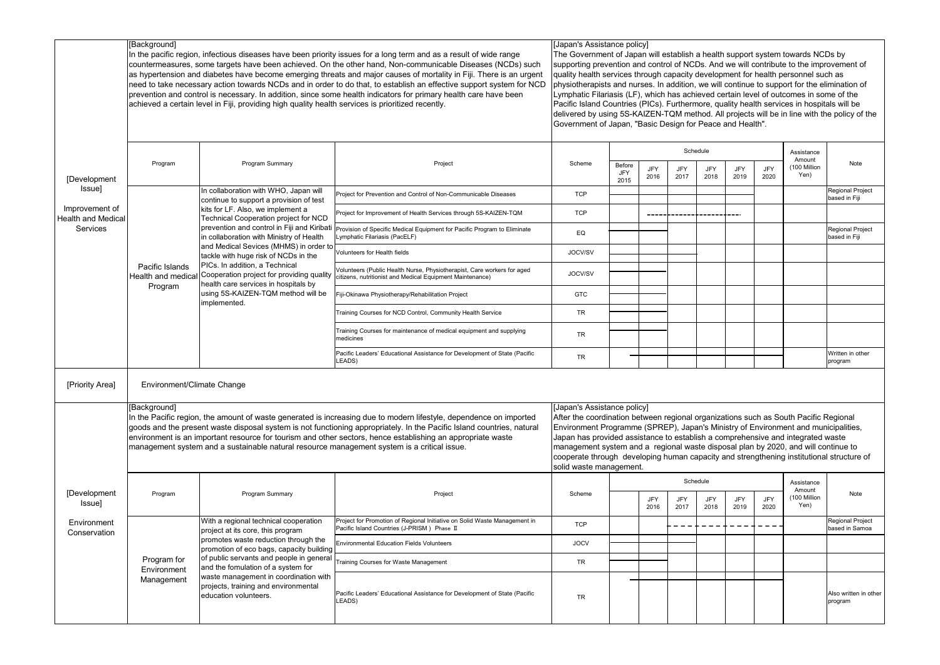|                                      | [Background]<br>In the pacific region, infectious diseases have been priority issues for a long term and as a result of wide range<br>countermeasures, some targets have been achieved. On the other hand, Non-communicable Diseases (NCDs) such<br>as hypertension and diabetes have become emerging threats and major causes of mortality in Fiji. There is an urgent<br>need to take necessary action towards NCDs and in order to do that, to establish an effective support system for NCD<br>prevention and control is necessary. In addition, since some health indicators for primary health care have been<br>achieved a certain level in Fiji, providing high quality health services is prioritized recently.                                                                                                                                                                                                                                                                | [Japan's Assistance policy]<br>The Government of Japan will establish a health support system towards NCDs by<br>supporting prevention and control of NCDs. And we will contribute to the improvement of<br>quality health services through capacity development for health personnel such as<br>physiotherapists and nurses. In addition, we will continue to support for the elimination of<br>Lymphatic Filariasis (LF), which has achieved certain level of outcomes in some of the<br>Pacific Island Countries (PICs). Furthermore, quality health services in hospitals will be<br>delivered by using 5S-KAIZEN-TQM method. All projects will be in line with the policy of the<br>Government of Japan, "Basic Design for Peace and Health". |                                                                                                                                      |             |                       |                    |             |             |                    |             |                                |                                           |
|--------------------------------------|-----------------------------------------------------------------------------------------------------------------------------------------------------------------------------------------------------------------------------------------------------------------------------------------------------------------------------------------------------------------------------------------------------------------------------------------------------------------------------------------------------------------------------------------------------------------------------------------------------------------------------------------------------------------------------------------------------------------------------------------------------------------------------------------------------------------------------------------------------------------------------------------------------------------------------------------------------------------------------------------|----------------------------------------------------------------------------------------------------------------------------------------------------------------------------------------------------------------------------------------------------------------------------------------------------------------------------------------------------------------------------------------------------------------------------------------------------------------------------------------------------------------------------------------------------------------------------------------------------------------------------------------------------------------------------------------------------------------------------------------------------|--------------------------------------------------------------------------------------------------------------------------------------|-------------|-----------------------|--------------------|-------------|-------------|--------------------|-------------|--------------------------------|-------------------------------------------|
|                                      |                                                                                                                                                                                                                                                                                                                                                                                                                                                                                                                                                                                                                                                                                                                                                                                                                                                                                                                                                                                         |                                                                                                                                                                                                                                                                                                                                                                                                                                                                                                                                                                                                                                                                                                                                                    |                                                                                                                                      |             |                       |                    |             | Schedule    |                    |             | Assistance                     |                                           |
| [Development                         | Program                                                                                                                                                                                                                                                                                                                                                                                                                                                                                                                                                                                                                                                                                                                                                                                                                                                                                                                                                                                 | Program Summary                                                                                                                                                                                                                                                                                                                                                                                                                                                                                                                                                                                                                                                                                                                                    | Project                                                                                                                              | Scheme      | Before<br>JFY<br>2015 | <b>JFY</b><br>2016 | JFY<br>2017 | JFY<br>2018 | <b>JFY</b><br>2019 | JFY<br>2020 | Amount<br>(100 Million<br>Yen) | Note                                      |
| Issue]                               |                                                                                                                                                                                                                                                                                                                                                                                                                                                                                                                                                                                                                                                                                                                                                                                                                                                                                                                                                                                         | In collaboration with WHO, Japan will<br>continue to support a provision of test                                                                                                                                                                                                                                                                                                                                                                                                                                                                                                                                                                                                                                                                   | Project for Prevention and Control of Non-Communicable Diseases                                                                      | <b>TCP</b>  |                       |                    |             |             |                    |             |                                | Regional Project<br>based in Fiji         |
| Improvement of<br>Health and Medical |                                                                                                                                                                                                                                                                                                                                                                                                                                                                                                                                                                                                                                                                                                                                                                                                                                                                                                                                                                                         | kits for LF. Also, we implement a<br>Technical Cooperation project for NCD                                                                                                                                                                                                                                                                                                                                                                                                                                                                                                                                                                                                                                                                         | Project for Improvement of Health Services through 5S-KAIZEN-TQM                                                                     | <b>TCP</b>  |                       |                    |             |             |                    |             |                                |                                           |
| Services                             | Pacific Islands<br>Health and medical<br>Program                                                                                                                                                                                                                                                                                                                                                                                                                                                                                                                                                                                                                                                                                                                                                                                                                                                                                                                                        | prevention and control in Fiji and Kiribati<br>in collaboration with Ministry of Health<br>and Medical Sevices (MHMS) in order to<br>tackle with huge risk of NCDs in the<br>PICs. In addition, a Technical<br>Cooperation project for providing quality<br>health care services in hospitals by<br>using 5S-KAIZEN-TQM method will be<br>implemented.                                                                                                                                                                                                                                                                                                                                                                                             | Provision of Specific Medical Equipment for Pacific Program to Eliminate<br>ymphatic Filariasis (PacELF)                             | EQ          |                       |                    |             |             |                    |             |                                | Regional Project<br>based in Fiji         |
|                                      |                                                                                                                                                                                                                                                                                                                                                                                                                                                                                                                                                                                                                                                                                                                                                                                                                                                                                                                                                                                         |                                                                                                                                                                                                                                                                                                                                                                                                                                                                                                                                                                                                                                                                                                                                                    | <b>Volunteers for Health fields</b>                                                                                                  | JOCV/SV     |                       |                    |             |             |                    |             |                                |                                           |
|                                      |                                                                                                                                                                                                                                                                                                                                                                                                                                                                                                                                                                                                                                                                                                                                                                                                                                                                                                                                                                                         |                                                                                                                                                                                                                                                                                                                                                                                                                                                                                                                                                                                                                                                                                                                                                    | Volunteers (Public Health Nurse, Physiotherapist, Care workers for aged<br>citizens, nutritionist and Medical Equipment Maintenance) | JOCV/SV     |                       |                    |             |             |                    |             |                                |                                           |
|                                      |                                                                                                                                                                                                                                                                                                                                                                                                                                                                                                                                                                                                                                                                                                                                                                                                                                                                                                                                                                                         |                                                                                                                                                                                                                                                                                                                                                                                                                                                                                                                                                                                                                                                                                                                                                    | Fiji-Okinawa Physiotherapy/Rehabilitation Project                                                                                    | <b>GTC</b>  |                       |                    |             |             |                    |             |                                |                                           |
|                                      |                                                                                                                                                                                                                                                                                                                                                                                                                                                                                                                                                                                                                                                                                                                                                                                                                                                                                                                                                                                         |                                                                                                                                                                                                                                                                                                                                                                                                                                                                                                                                                                                                                                                                                                                                                    | Training Courses for NCD Control, Community Health Service                                                                           | <b>TR</b>   |                       |                    |             |             |                    |             |                                |                                           |
|                                      |                                                                                                                                                                                                                                                                                                                                                                                                                                                                                                                                                                                                                                                                                                                                                                                                                                                                                                                                                                                         |                                                                                                                                                                                                                                                                                                                                                                                                                                                                                                                                                                                                                                                                                                                                                    | Training Courses for maintenance of medical equipment and supplying<br>medicines                                                     | <b>TR</b>   |                       |                    |             |             |                    |             |                                |                                           |
|                                      |                                                                                                                                                                                                                                                                                                                                                                                                                                                                                                                                                                                                                                                                                                                                                                                                                                                                                                                                                                                         |                                                                                                                                                                                                                                                                                                                                                                                                                                                                                                                                                                                                                                                                                                                                                    | Pacific Leaders' Educational Assistance for Development of State (Pacific<br>LEADS)                                                  | TR          |                       |                    |             |             |                    |             |                                | Written in other<br>program               |
| [Priority Area]                      | Environment/Climate Change                                                                                                                                                                                                                                                                                                                                                                                                                                                                                                                                                                                                                                                                                                                                                                                                                                                                                                                                                              |                                                                                                                                                                                                                                                                                                                                                                                                                                                                                                                                                                                                                                                                                                                                                    |                                                                                                                                      |             |                       |                    |             |             |                    |             |                                |                                           |
|                                      | [Japan's Assistance policy]<br>[Background]<br>After the coordination between regional organizations such as South Pacific Regional<br>In the Pacific region, the amount of waste generated is increasing due to modern lifestyle, dependence on imported<br>goods and the present waste disposal system is not functioning appropriately. In the Pacific Island countries, natural<br>Environment Programme (SPREP), Japan's Ministry of Environment and municipalities,<br>environment is an important resource for tourism and other sectors, hence establishing an appropriate waste<br>Japan has provided assistance to establish a comprehensive and integrated waste<br>management system and a regional waste disposal plan by 2020, and will continue to<br>management system and a sustainable natural resource management system is a critical issue.<br>cooperate through developing human capacity and strengthening institutional structure of<br>solid waste management. |                                                                                                                                                                                                                                                                                                                                                                                                                                                                                                                                                                                                                                                                                                                                                    |                                                                                                                                      |             |                       |                    |             |             |                    |             |                                |                                           |
|                                      |                                                                                                                                                                                                                                                                                                                                                                                                                                                                                                                                                                                                                                                                                                                                                                                                                                                                                                                                                                                         | Program Summary                                                                                                                                                                                                                                                                                                                                                                                                                                                                                                                                                                                                                                                                                                                                    | Project                                                                                                                              |             |                       |                    |             | Schedule    |                    |             | Assistance<br>Amount           |                                           |
| [Development<br>Issue]               | Program                                                                                                                                                                                                                                                                                                                                                                                                                                                                                                                                                                                                                                                                                                                                                                                                                                                                                                                                                                                 |                                                                                                                                                                                                                                                                                                                                                                                                                                                                                                                                                                                                                                                                                                                                                    |                                                                                                                                      | Scheme      |                       | <b>JFY</b><br>2016 | JFY<br>2017 | JFY<br>2018 | <b>JFY</b><br>2019 | JFY<br>2020 | (100 Million<br>Yen)           | Note                                      |
| Environment<br>Conservation          |                                                                                                                                                                                                                                                                                                                                                                                                                                                                                                                                                                                                                                                                                                                                                                                                                                                                                                                                                                                         | With a regional technical cooperation<br>project at its core, this program<br>promotes waste reduction through the<br>promotion of eco bags, capacity building<br>of public servants and people in general<br>and the fomulation of a system for<br>waste management in coordination with<br>projects, training and environmental<br>education volunteers.                                                                                                                                                                                                                                                                                                                                                                                         | Project for Promotion of Regional Initiative on Solid Waste Management in<br>Pacific Island Countries (J-PRISM) Phase II             | <b>TCP</b>  |                       |                    |             |             |                    |             |                                | <b>Regional Project</b><br>based in Samoa |
|                                      |                                                                                                                                                                                                                                                                                                                                                                                                                                                                                                                                                                                                                                                                                                                                                                                                                                                                                                                                                                                         |                                                                                                                                                                                                                                                                                                                                                                                                                                                                                                                                                                                                                                                                                                                                                    | <b>Environmental Education Fields Volunteers</b>                                                                                     | <b>JOCV</b> |                       |                    |             |             |                    |             |                                |                                           |
|                                      | Program for<br>Environment                                                                                                                                                                                                                                                                                                                                                                                                                                                                                                                                                                                                                                                                                                                                                                                                                                                                                                                                                              |                                                                                                                                                                                                                                                                                                                                                                                                                                                                                                                                                                                                                                                                                                                                                    | Training Courses for Waste Management                                                                                                | <b>TR</b>   |                       |                    |             |             |                    |             |                                |                                           |
|                                      | Management                                                                                                                                                                                                                                                                                                                                                                                                                                                                                                                                                                                                                                                                                                                                                                                                                                                                                                                                                                              |                                                                                                                                                                                                                                                                                                                                                                                                                                                                                                                                                                                                                                                                                                                                                    | Pacific Leaders' Educational Assistance for Development of State (Pacific<br>LEADS)                                                  | TR          |                       |                    |             |             |                    |             |                                | Also written in other<br>program          |